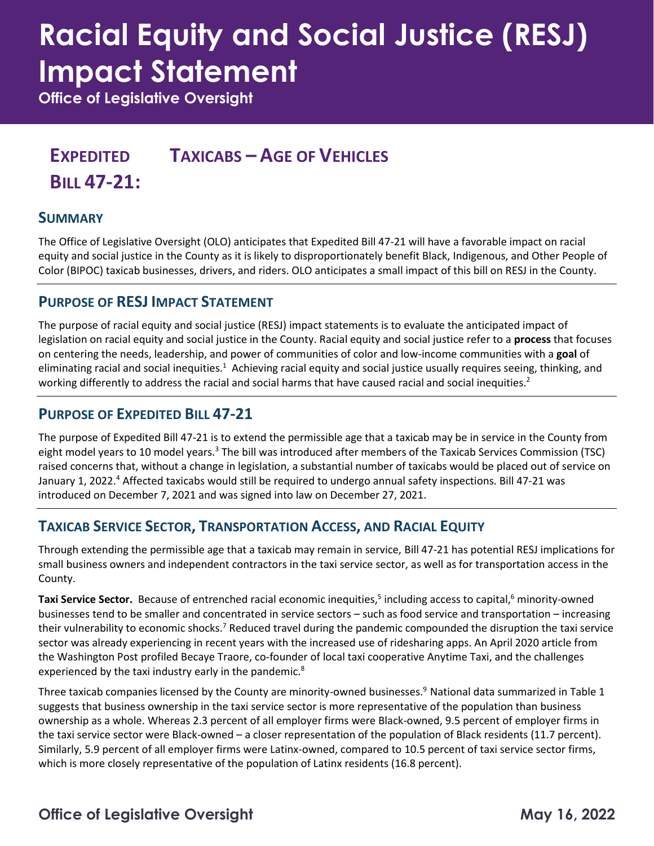# **Racial Equity and Social Justice (RESJ) Impact Statement**

**Office of Legislative Oversight**

## **EXPEDITED BILL 47-21: TAXICABS – AGE OF VEHICLES**

## **SUMMARY**

The Office of Legislative Oversight (OLO) anticipates that Expedited Bill 47-21 will have a favorable impact on racial equity and social justice in the County as it is likely to disproportionately benefit Black, Indigenous, and Other People of Color (BIPOC) taxicab businesses, drivers, and riders. OLO anticipates a small impact of this bill on RESJ in the County.

### **PURPOSE OF RESJ IMPACT STATEMENT**

The purpose of racial equity and social justice (RESJ) impact statements is to evaluate the anticipated impact of legislation on racial equity and social justice in the County. Racial equity and social justice refer to a **process** that focuses on centering the needs, leadership, and power of communities of color and low-income communities with a **goal** of eliminating racial and social inequities.<sup>1</sup> Achieving racial equity and social justice usually requires seeing, thinking, and working differently to address the racial and social harms that have caused racial and social inequities.<sup>2</sup>

## **PURPOSE OF EXPEDITED BILL 47-21**

The purpose of Expedited Bill 47-21 is to extend the permissible age that a taxicab may be in service in the County from eight model years to 10 model years.<sup>3</sup> The bill was introduced after members of the Taxicab Services Commission (TSC) raised concerns that, without a change in legislation, a substantial number of taxicabs would be placed out of service on January 1, 2022.<sup>4</sup> Affected taxicabs would still be required to undergo annual safety inspections. Bill 47-21 was introduced on December 7, 2021 and was signed into law on December 27, 2021.

## **TAXICAB SERVICE SECTOR, TRANSPORTATION ACCESS, AND RACIAL EQUITY**

Through extending the permissible age that a taxicab may remain in service, Bill 47-21 has potential RESJ implications for small business owners and independent contractors in the taxi service sector, as well as for transportation access in the County.

**Taxi Service Sector.** Because of entrenched racial economic inequities,<sup>5</sup> including access to capital,<sup>6</sup> minority-owned businesses tend to be smaller and concentrated in service sectors – such as food service and transportation – increasing their vulnerability to economic shocks.<sup>7</sup> Reduced travel during the pandemic compounded the disruption the taxi service sector was already experiencing in recent years with the increased use of ridesharing apps. An April 2020 article from the Washington Post profiled Becaye Traore, co-founder of local taxi cooperative Anytime Taxi, and the challenges experienced by the taxi industry early in the pandemic.<sup>8</sup>

Three taxicab companies licensed by the County are minority-owned businesses.<sup>9</sup> National data summarized in Table 1 suggests that business ownership in the taxi service sector is more representative of the population than business ownership as a whole. Whereas 2.3 percent of all employer firms were Black-owned, 9.5 percent of employer firms in the taxi service sector were Black-owned – a closer representation of the population of Black residents (11.7 percent). Similarly, 5.9 percent of all employer firms were Latinx-owned, compared to 10.5 percent of taxi service sector firms, which is more closely representative of the population of Latinx residents (16.8 percent).

## **Office of Legislative Oversight May 16, 2022**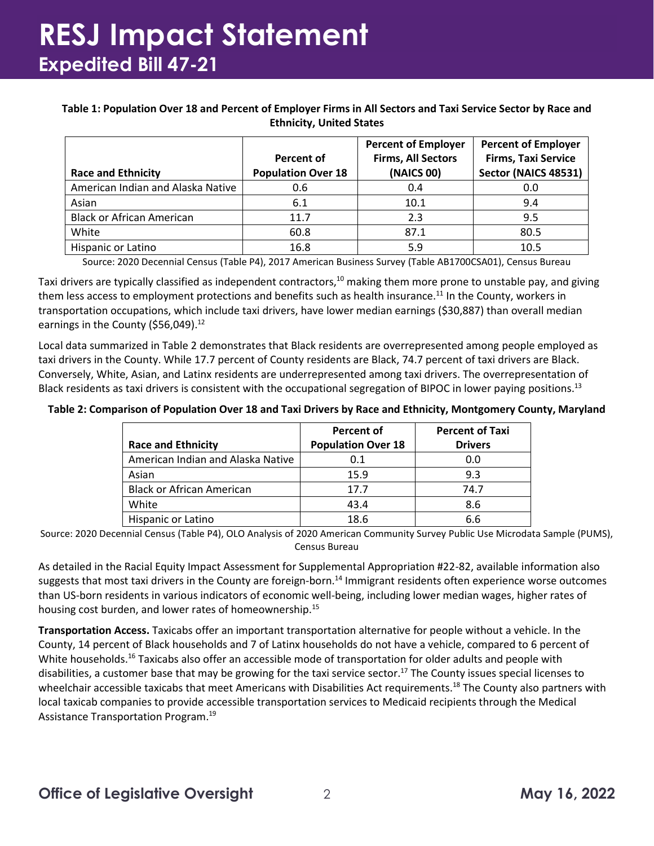## **RESJ Impact Statement Expedited Bill 47-21**

#### **Table 1: Population Over 18 and Percent of Employer Firms in All Sectors and Taxi Service Sector by Race and Ethnicity, United States**

| <b>Race and Ethnicity</b>         | <b>Percent of</b><br><b>Population Over 18</b> | <b>Percent of Employer</b><br><b>Firms, All Sectors</b><br>(NAICS 00) | <b>Percent of Employer</b><br><b>Firms, Taxi Service</b><br>Sector (NAICS 48531) |
|-----------------------------------|------------------------------------------------|-----------------------------------------------------------------------|----------------------------------------------------------------------------------|
| American Indian and Alaska Native | 0.6                                            | 0.4                                                                   | 0.0                                                                              |
| Asian                             | 6.1                                            | 10.1                                                                  | 9.4                                                                              |
| <b>Black or African American</b>  | 11.7                                           | 2.3                                                                   | 9.5                                                                              |
| White                             | 60.8                                           | 87.1                                                                  | 80.5                                                                             |
| Hispanic or Latino                | 16.8                                           | 5.9                                                                   | 10.5                                                                             |

Source: 2020 Decennial Census (Table P4), 2017 American Business Survey (Table AB1700CSA01), Census Bureau

Taxi drivers are typically classified as independent contractors,<sup>10</sup> making them more prone to unstable pay, and giving them less access to employment protections and benefits such as health insurance.<sup>11</sup> In the County, workers in transportation occupations, which include taxi drivers, have lower median earnings (\$30,887) than overall median earnings in the County (\$56,049).<sup>12</sup>

Local data summarized in Table 2 demonstrates that Black residents are overrepresented among people employed as taxi drivers in the County. While 17.7 percent of County residents are Black, 74.7 percent of taxi drivers are Black. Conversely, White, Asian, and Latinx residents are underrepresented among taxi drivers. The overrepresentation of Black residents as taxi drivers is consistent with the occupational segregation of BIPOC in lower paying positions.<sup>13</sup>

#### **Table 2: Comparison of Population Over 18 and Taxi Drivers by Race and Ethnicity, Montgomery County, Maryland**

|                                   | <b>Percent of</b>         | <b>Percent of Taxi</b> |
|-----------------------------------|---------------------------|------------------------|
| <b>Race and Ethnicity</b>         | <b>Population Over 18</b> | <b>Drivers</b>         |
| American Indian and Alaska Native | 0.1                       | 0.0                    |
| Asian                             | 15.9                      | 9.3                    |
| <b>Black or African American</b>  | 17.7                      | 74.7                   |
| White                             | 43.4                      | 8.6                    |
| Hispanic or Latino                | 18.6                      | 6.6                    |

Source: 2020 Decennial Census (Table P4), OLO Analysis of 2020 American Community Survey Public Use Microdata Sample (PUMS), Census Bureau

As detailed in the Racial Equity Impact Assessment for Supplemental Appropriation #22-82, available information also suggests that most taxi drivers in the County are foreign-born.<sup>14</sup> Immigrant residents often experience worse outcomes than US-born residents in various indicators of economic well-being, including lower median wages, higher rates of housing cost burden, and lower rates of homeownership.<sup>15</sup>

**Transportation Access.** Taxicabs offer an important transportation alternative for people without a vehicle. In the County, 14 percent of Black households and 7 of Latinx households do not have a vehicle, compared to 6 percent of White households.<sup>16</sup> Taxicabs also offer an accessible mode of transportation for older adults and people with disabilities, a customer base that may be growing for the taxi service sector.<sup>17</sup> The County issues special licenses to wheelchair accessible taxicabs that meet Americans with Disabilities Act requirements.<sup>18</sup> The County also partners with local taxicab companies to provide accessible transportation services to Medicaid recipients through the Medical Assistance Transportation Program. 19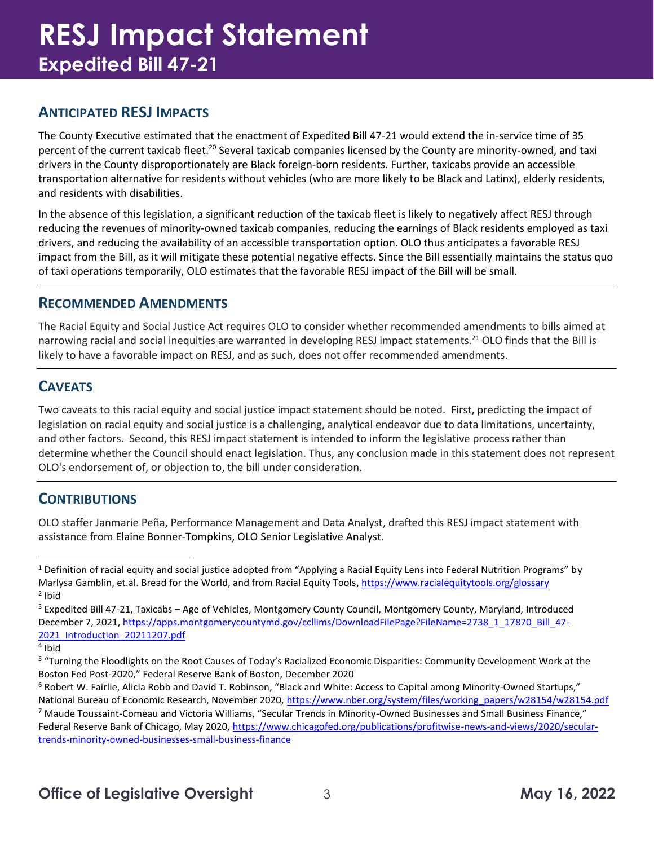## **RESJ Impact Statement Expedited Bill 47-21**

## **ANTICIPATED RESJ IMPACTS**

The County Executive estimated that the enactment of Expedited Bill 47-21 would extend the in-service time of 35 percent of the current taxicab fleet.<sup>20</sup> Several taxicab companies licensed by the County are minority-owned, and taxi drivers in the County disproportionately are Black foreign-born residents. Further, taxicabs provide an accessible transportation alternative for residents without vehicles (who are more likely to be Black and Latinx), elderly residents, and residents with disabilities.

In the absence of this legislation, a significant reduction of the taxicab fleet is likely to negatively affect RESJ through reducing the revenues of minority-owned taxicab companies, reducing the earnings of Black residents employed as taxi drivers, and reducing the availability of an accessible transportation option. OLO thus anticipates a favorable RESJ impact from the Bill, as it will mitigate these potential negative effects. Since the Bill essentially maintains the status quo of taxi operations temporarily, OLO estimates that the favorable RESJ impact of the Bill will be small.

### **RECOMMENDED AMENDMENTS**

The Racial Equity and Social Justice Act requires OLO to consider whether recommended amendments to bills aimed at narrowing racial and social inequities are warranted in developing RESJ impact statements.<sup>21</sup> OLO finds that the Bill is likely to have a favorable impact on RESJ, and as such, does not offer recommended amendments.

## **CAVEATS**

Two caveats to this racial equity and social justice impact statement should be noted. First, predicting the impact of legislation on racial equity and social justice is a challenging, analytical endeavor due to data limitations, uncertainty, and other factors. Second, this RESJ impact statement is intended to inform the legislative process rather than determine whether the Council should enact legislation. Thus, any conclusion made in this statement does not represent OLO's endorsement of, or objection to, the bill under consideration.

## **CONTRIBUTIONS**

OLO staffer Janmarie Peña, Performance Management and Data Analyst, drafted this RESJ impact statement with assistance from Elaine Bonner-Tompkins, OLO Senior Legislative Analyst.

<sup>&</sup>lt;sup>1</sup> Definition of racial equity and social justice adopted from "Applying a Racial Equity Lens into Federal Nutrition Programs" by Marlysa Gamblin, et.al. Bread for the World, and from Racial Equity Tools, <https://www.racialequitytools.org/glossary> <sup>2</sup> Ibid

<sup>3</sup> Expedited Bill 47-21, Taxicabs – Age of Vehicles, Montgomery County Council, Montgomery County, Maryland, Introduced December 7, 2021, [https://apps.montgomerycountymd.gov/ccllims/DownloadFilePage?FileName=2738\\_1\\_17870\\_Bill\\_47-](https://apps.montgomerycountymd.gov/ccllims/DownloadFilePage?FileName=2738_1_17870_Bill_47-2021_Introduction_20211207.pdf) [2021\\_Introduction\\_20211207.pdf](https://apps.montgomerycountymd.gov/ccllims/DownloadFilePage?FileName=2738_1_17870_Bill_47-2021_Introduction_20211207.pdf)

<sup>4</sup> Ibid

<sup>&</sup>lt;sup>5</sup> "Turning the Floodlights on the Root Causes of Today's Racialized Economic Disparities: Community Development Work at the Boston Fed Post-2020," Federal Reserve Bank of Boston, December 2020

<sup>&</sup>lt;sup>6</sup> Robert W. Fairlie, Alicia Robb and David T. Robinson, "Black and White: Access to Capital among Minority-Owned Startups," National Bureau of Economic Research, November 2020, [https://www.nber.org/system/files/working\\_papers/w28154/w28154.pdf](https://www.nber.org/system/files/working_papers/w28154/w28154.pdf)

 $^7$  Maude Toussaint-Comeau and Victoria Williams, "Secular Trends in Minority-Owned Businesses and Small Business Finance," Federal Reserve Bank of Chicago, May 2020, [https://www.chicagofed.org/publications/profitwise-news-and-views/2020/secular](https://www.chicagofed.org/publications/profitwise-news-and-views/2020/secular-trends-minority-owned-businesses-small-business-finance)[trends-minority-owned-businesses-small-business-finance](https://www.chicagofed.org/publications/profitwise-news-and-views/2020/secular-trends-minority-owned-businesses-small-business-finance)